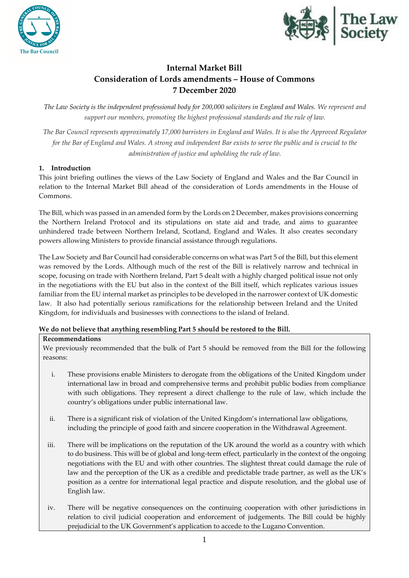



# **Internal Market Bill Consideration of Lords amendments – House of Commons 7 December 2020**

*The Law Society is the independent professional body for 200,000 solicitors in England and Wales. We represent and support our members, promoting the highest professional standards and the rule of law.*

*The Bar Council represents approximately 17,000 barristers in England and Wales. It is also the Approved Regulator for the Bar of England and Wales. A strong and independent Bar exists to serve the public and is crucial to the administration of justice and upholding the rule of law.*

## **1. Introduction**

This joint briefing outlines the views of the Law Society of England and Wales and the Bar Council in relation to the Internal Market Bill ahead of the consideration of Lords amendments in the House of Commons.

The Bill, which was passed in an amended form by the Lords on 2 December, makes provisions concerning the Northern Ireland Protocol and its stipulations on state aid and trade, and aims to guarantee unhindered trade between Northern Ireland, Scotland, England and Wales. It also creates secondary powers allowing Ministers to provide financial assistance through regulations.

The Law Society and Bar Council had considerable concerns on what was Part 5 of the Bill, but this element was removed by the Lords. Although much of the rest of the Bill is relatively narrow and technical in scope, focusing on trade with Northern Ireland, Part 5 dealt with a highly charged political issue not only in the negotiations with the EU but also in the context of the Bill itself, which replicates various issues familiar from the EU internal market as principles to be developed in the narrower context of UK domestic law. It also had potentially serious ramifications for the relationship between Ireland and the United Kingdom, for individuals and businesses with connections to the island of Ireland.

## **We do not believe that anything resembling Part 5 should be restored to the Bill.**

## **Recommendations**

We previously recommended that the bulk of Part 5 should be removed from the Bill for the following reasons:

- i. These provisions enable Ministers to derogate from the obligations of the United Kingdom under international law in broad and comprehensive terms and prohibit public bodies from compliance with such obligations. They represent a direct challenge to the rule of law, which include the country's obligations under public international law.
- ii. There is a significant risk of violation of the United Kingdom's international law obligations, including the principle of good faith and sincere cooperation in the Withdrawal Agreement.
- iii. There will be implications on the reputation of the UK around the world as a country with which to do business. This will be of global and long-term effect, particularly in the context of the ongoing negotiations with the EU and with other countries. The slightest threat could damage the rule of law and the perception of the UK as a credible and predictable trade partner, as well as the UK's position as a centre for international legal practice and dispute resolution, and the global use of English law.
- iv. There will be negative consequences on the continuing cooperation with other jurisdictions in relation to civil judicial cooperation and enforcement of judgements. The Bill could be highly prejudicial to the UK Government's application to accede to the Lugano Convention.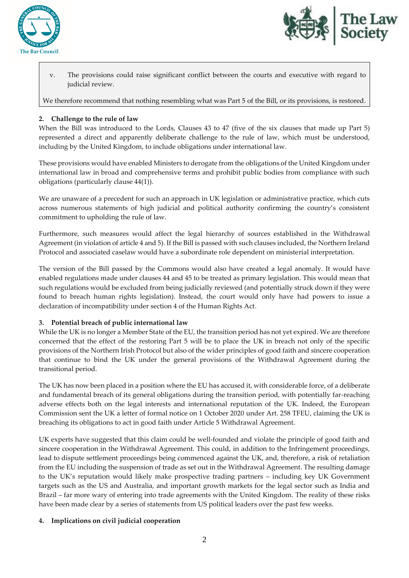



v. The provisions could raise significant conflict between the courts and executive with regard to judicial review.

We therefore recommend that nothing resembling what was Part 5 of the Bill, or its provisions, is restored.

## **2. Challenge to the rule of law**

When the Bill was introduced to the Lords, Clauses 43 to 47 (five of the six clauses that made up Part 5) represented a direct and apparently deliberate challenge to the rule of law, which must be understood, including by the United Kingdom, to include obligations under international law.

These provisions would have enabled Ministers to derogate from the obligations of the United Kingdom under international law in broad and comprehensive terms and prohibit public bodies from compliance with such obligations (particularly clause 44(1)).

We are unaware of a precedent for such an approach in UK legislation or administrative practice, which cuts across numerous statements of high judicial and political authority confirming the country's consistent commitment to upholding the rule of law.

Furthermore, such measures would affect the legal hierarchy of sources established in the Withdrawal Agreement (in violation of article 4 and 5). If the Bill is passed with such clauses included, the Northern Ireland Protocol and associated caselaw would have a subordinate role dependent on ministerial interpretation.

The version of the Bill passed by the Commons would also have created a legal anomaly. It would have enabled regulations made under clauses 44 and 45 to be treated as primary legislation. This would mean that such regulations would be excluded from being judicially reviewed (and potentially struck down if they were found to breach human rights legislation). Instead, the court would only have had powers to issue a declaration of incompatibility under section 4 of the Human Rights Act.

### **3. Potential breach of public international law**

While the UK is no longer a Member State of the EU, the transition period has not yet expired. We are therefore concerned that the effect of the restoring Part 5 will be to place the UK in breach not only of the specific provisions of the Northern Irish Protocol but also of the wider principles of good faith and sincere cooperation that continue to bind the UK under the general provisions of the Withdrawal Agreement during the transitional period.

The UK has now been placed in a position where the EU has accused it, with considerable force, of a deliberate and fundamental breach of its general obligations during the transition period, with potentially far-reaching adverse effects both on the legal interests and international reputation of the UK. Indeed, the European Commission sent the UK a letter of formal notice on 1 October 2020 under Art. 258 TFEU, claiming the UK is breaching its obligations to act in good faith under Article 5 Withdrawal Agreement.

UK experts have suggested that this claim could be well-founded and violate the principle of good faith and sincere cooperation in the Withdrawal Agreement. This could, in addition to the Infringement proceedings, lead to dispute settlement proceedings being commenced against the UK, and, therefore, a risk of retaliation from the EU including the suspension of trade as set out in the Withdrawal Agreement. The resulting damage to the UK's reputation would likely make prospective trading partners – including key UK Government targets such as the US and Australia, and important growth markets for the legal sector such as India and Brazil – far more wary of entering into trade agreements with the United Kingdom. The reality of these risks have been made clear by a series of statements from US political leaders over the past few weeks.

### **4. Implications on civil judicial cooperation**